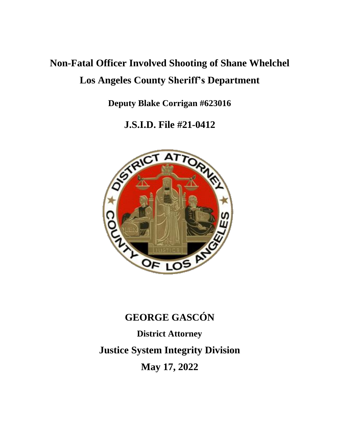# **Non-Fatal Officer Involved Shooting of Shane Whelchel Los Angeles County Sheriff's Department**

**Deputy Blake Corrigan #623016**

**J.S.I.D. File #21-0412**



# **GEORGE GASCÓN District Attorney Justice System Integrity Division May 17, 2022**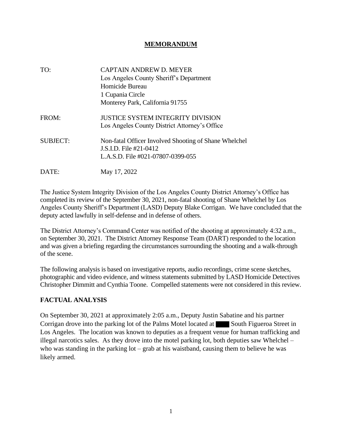#### **MEMORANDUM**

| TO:             | <b>CAPTAIN ANDREW D. MEYER</b>                        |
|-----------------|-------------------------------------------------------|
|                 | Los Angeles County Sheriff's Department               |
|                 | Homicide Bureau                                       |
|                 | 1 Cupania Circle                                      |
|                 | Monterey Park, California 91755                       |
| FROM:           | <b>JUSTICE SYSTEM INTEGRITY DIVISION</b>              |
|                 | Los Angeles County District Attorney's Office         |
| <b>SUBJECT:</b> | Non-fatal Officer Involved Shooting of Shane Whelchel |
|                 | J.S.I.D. File #21-0412                                |
|                 | L.A.S.D. File #021-07807-0399-055                     |
| DATE:           | May 17, 2022                                          |

The Justice System Integrity Division of the Los Angeles County District Attorney's Office has completed its review of the September 30, 2021, non-fatal shooting of Shane Whelchel by Los Angeles County Sheriff's Department (LASD) Deputy Blake Corrigan. We have concluded that the deputy acted lawfully in self-defense and in defense of others.

The District Attorney's Command Center was notified of the shooting at approximately 4:32 a.m., on September 30, 2021. The District Attorney Response Team (DART) responded to the location and was given a briefing regarding the circumstances surrounding the shooting and a walk-through of the scene.

The following analysis is based on investigative reports, audio recordings, crime scene sketches, photographic and video evidence, and witness statements submitted by LASD Homicide Detectives Christopher Dimmitt and Cynthia Toone. Compelled statements were not considered in this review.

#### **FACTUAL ANALYSIS**

On September 30, 2021 at approximately 2:05 a.m., Deputy Justin Sabatine and his partner Corrigan drove into the parking lot of the Palms Motel located at South Figueroa Street in Los Angeles. The location was known to deputies as a frequent venue for human trafficking and illegal narcotics sales. As they drove into the motel parking lot, both deputies saw Whelchel – who was standing in the parking lot – grab at his waistband, causing them to believe he was likely armed.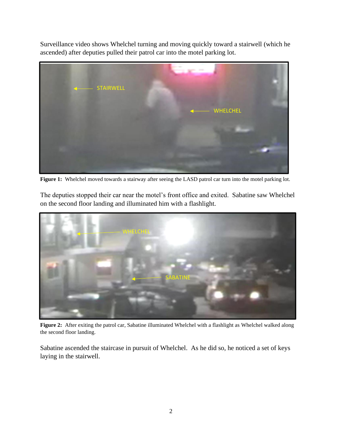Surveillance video shows Whelchel turning and moving quickly toward a stairwell (which he ascended) after deputies pulled their patrol car into the motel parking lot.



Figure 1: Whelchel moved towards a stairway after seeing the LASD patrol car turn into the motel parking lot.

The deputies stopped their car near the motel's front office and exited. Sabatine saw Whelchel on the second floor landing and illuminated him with a flashlight.



**Figure 2:** After exiting the patrol car, Sabatine illuminated Whelchel with a flashlight as Whelchel walked along the second floor landing.

Sabatine ascended the staircase in pursuit of Whelchel. As he did so, he noticed a set of keys laying in the stairwell.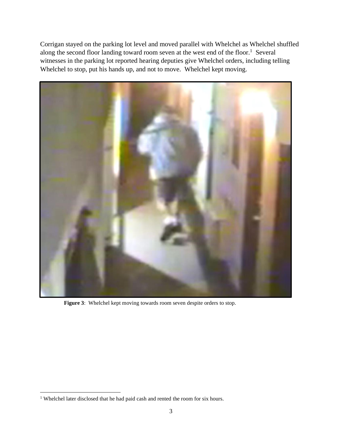Corrigan stayed on the parking lot level and moved parallel with Whelchel as Whelchel shuffled along the second floor landing toward room seven at the west end of the floor.<sup>1</sup> Several witnesses in the parking lot reported hearing deputies give Whelchel orders, including telling Whelchel to stop, put his hands up, and not to move. Whelchel kept moving.



 **Figure 3**: Whelchel kept moving towards room seven despite orders to stop.

<sup>&</sup>lt;sup>1</sup> Whelchel later disclosed that he had paid cash and rented the room for six hours.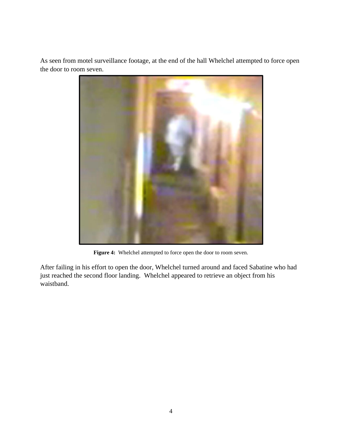As seen from motel surveillance footage, at the end of the hall Whelchel attempted to force open the door to room seven.



**Figure 4:** Whelchel attempted to force open the door to room seven.

After failing in his effort to open the door, Whelchel turned around and faced Sabatine who had just reached the second floor landing. Whelchel appeared to retrieve an object from his waistband.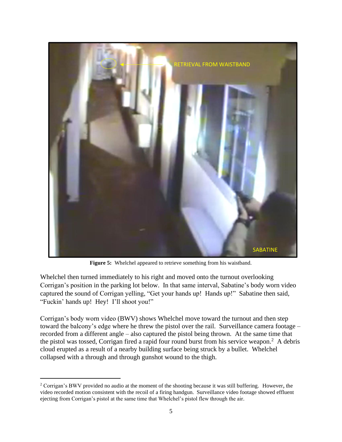

**Figure 5:** Whelchel appeared to retrieve something from his waistband.

Whelchel then turned immediately to his right and moved onto the turnout overlooking Corrigan's position in the parking lot below. In that same interval, Sabatine's body worn video captured the sound of Corrigan yelling, "Get your hands up! Hands up!" Sabatine then said, "Fuckin' hands up! Hey! I'll shoot you!"

Corrigan's body worn video (BWV) shows Whelchel move toward the turnout and then step toward the balcony's edge where he threw the pistol over the rail. Surveillance camera footage – recorded from a different angle – also captured the pistol being thrown. At the same time that the pistol was tossed, Corrigan fired a rapid four round burst from his service weapon.<sup>2</sup> A debris cloud erupted as a result of a nearby building surface being struck by a bullet. Whelchel collapsed with a through and through gunshot wound to the thigh.

<sup>&</sup>lt;sup>2</sup> Corrigan's BWV provided no audio at the moment of the shooting because it was still buffering. However, the video recorded motion consistent with the recoil of a firing handgun. Surveillance video footage showed effluent ejecting from Corrigan's pistol at the same time that Whelchel's pistol flew through the air.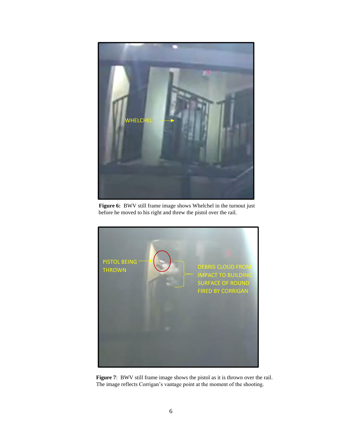

**Figure 6:** BWV still frame image shows Whelchel in the turnout just before he moved to his right and threw the pistol over the rail.



**Figure 7**: BWV still frame image shows the pistol as it is thrown over the rail. The image reflects Corrigan's vantage point at the moment of the shooting.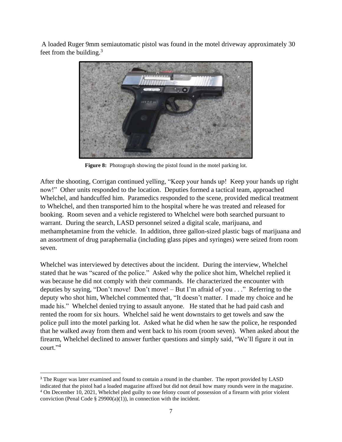A loaded Ruger 9mm semiautomatic pistol was found in the motel driveway approximately 30 feet from the building. $3$ 



 **Figure 8:** Photograph showing the pistol found in the motel parking lot.

After the shooting, Corrigan continued yelling, "Keep your hands up! Keep your hands up right now!" Other units responded to the location. Deputies formed a tactical team, approached Whelchel, and handcuffed him. Paramedics responded to the scene, provided medical treatment to Whelchel, and then transported him to the hospital where he was treated and released for booking. Room seven and a vehicle registered to Whelchel were both searched pursuant to warrant. During the search, LASD personnel seized a digital scale, marijuana, and methamphetamine from the vehicle. In addition, three gallon-sized plastic bags of marijuana and an assortment of drug paraphernalia (including glass pipes and syringes) were seized from room seven.

Whelchel was interviewed by detectives about the incident. During the interview, Whelchel stated that he was "scared of the police." Asked why the police shot him, Whelchel replied it was because he did not comply with their commands. He characterized the encounter with deputies by saying, "Don't move! Don't move! – But I'm afraid of you . . ." Referring to the deputy who shot him, Whelchel commented that, "It doesn't matter. I made my choice and he made his." Whelchel denied trying to assault anyone. He stated that he had paid cash and rented the room for six hours. Whelchel said he went downstairs to get towels and saw the police pull into the motel parking lot. Asked what he did when he saw the police, he responded that he walked away from them and went back to his room (room seven). When asked about the firearm, Whelchel declined to answer further questions and simply said, "We'll figure it out in court."<sup>4</sup>

<sup>&</sup>lt;sup>3</sup> The Ruger was later examined and found to contain a round in the chamber. The report provided by LASD

indicated that the pistol had a loaded magazine affixed but did not detail how many rounds were in the magazine. <sup>4</sup> On December 10, 2021, Whelchel pled guilty to one felony count of possession of a firearm with prior violent conviction (Penal Code  $\S$  29900(a)(1)), in connection with the incident.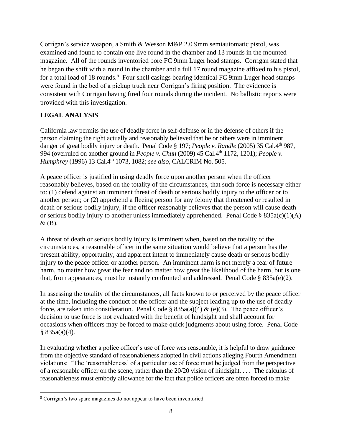Corrigan's service weapon, a Smith & Wesson M&P 2.0 9mm semiautomatic pistol, was examined and found to contain one live round in the chamber and 13 rounds in the mounted magazine. All of the rounds inventoried bore FC 9mm Luger head stamps. Corrigan stated that he began the shift with a round in the chamber and a full 17 round magazine affixed to his pistol, for a total load of 18 rounds.<sup>5</sup> Four shell casings bearing identical FC 9mm Luger head stamps were found in the bed of a pickup truck near Corrigan's firing position. The evidence is consistent with Corrigan having fired four rounds during the incident. No ballistic reports were provided with this investigation.

## **LEGAL ANALYSIS**

California law permits the use of deadly force in self-defense or in the defense of others if the person claiming the right actually and reasonably believed that he or others were in imminent danger of great bodily injury or death. Penal Code § 197; *People v. Randle* (2005) 35 Cal.4<sup>th</sup> 987, 994 (overruled on another ground in *People v. Chun* (2009) 45 Cal.4th 1172, 1201); *People v. Humphrey* (1996) 13 Cal.4th 1073, 1082; *see also,* CALCRIM No. 505.

A peace officer is justified in using deadly force upon another person when the officer reasonably believes, based on the totality of the circumstances, that such force is necessary either to: (1) defend against an imminent threat of death or serious bodily injury to the officer or to another person; or (2) apprehend a fleeing person for any felony that threatened or resulted in death or serious bodily injury, if the officer reasonably believes that the person will cause death or serious bodily injury to another unless immediately apprehended. Penal Code  $\S$  835a(c)(1)(A)  $\&$  (B).

A threat of death or serious bodily injury is imminent when, based on the totality of the circumstances, a reasonable officer in the same situation would believe that a person has the present ability, opportunity, and apparent intent to immediately cause death or serious bodily injury to the peace officer or another person. An imminent harm is not merely a fear of future harm, no matter how great the fear and no matter how great the likelihood of the harm, but is one that, from appearances, must be instantly confronted and addressed. Penal Code § 835a(e)(2).

In assessing the totality of the circumstances, all facts known to or perceived by the peace officer at the time, including the conduct of the officer and the subject leading up to the use of deadly force, are taken into consideration. Penal Code §  $835a(a)(4) \& (e)(3)$ . The peace officer's decision to use force is not evaluated with the benefit of hindsight and shall account for occasions when officers may be forced to make quick judgments about using force. Penal Code  $§ 835a(a)(4).$ 

In evaluating whether a police officer's use of force was reasonable, it is helpful to draw guidance from the objective standard of reasonableness adopted in civil actions alleging Fourth Amendment violations: "The 'reasonableness' of a particular use of force must be judged from the perspective of a reasonable officer on the scene, rather than the 20/20 vision of hindsight. . . . The calculus of reasonableness must embody allowance for the fact that police officers are often forced to make

<sup>5</sup> Corrigan's two spare magazines do not appear to have been inventoried.